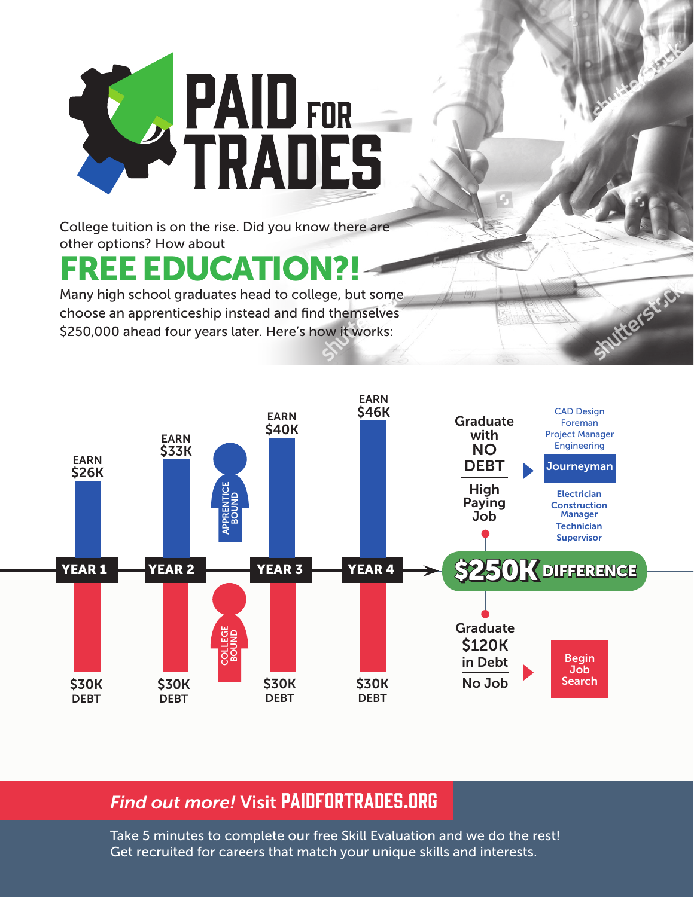

College tuition is on the rise. Did you know there are other options? How about

## **REE EDUCATION?!**

Many high school graduates head to college, but some choose an apprenticeship instead and find themselves \$250,000 ahead four years later. Here's how it works:



**Shutterstr.C** 

## **Find out more! Visit PAIDFORTRADES.ORG**

Take 5 minutes to complete our free Skill Evaluation and we do the rest! Get recruited for careers that match your unique skills and interests.